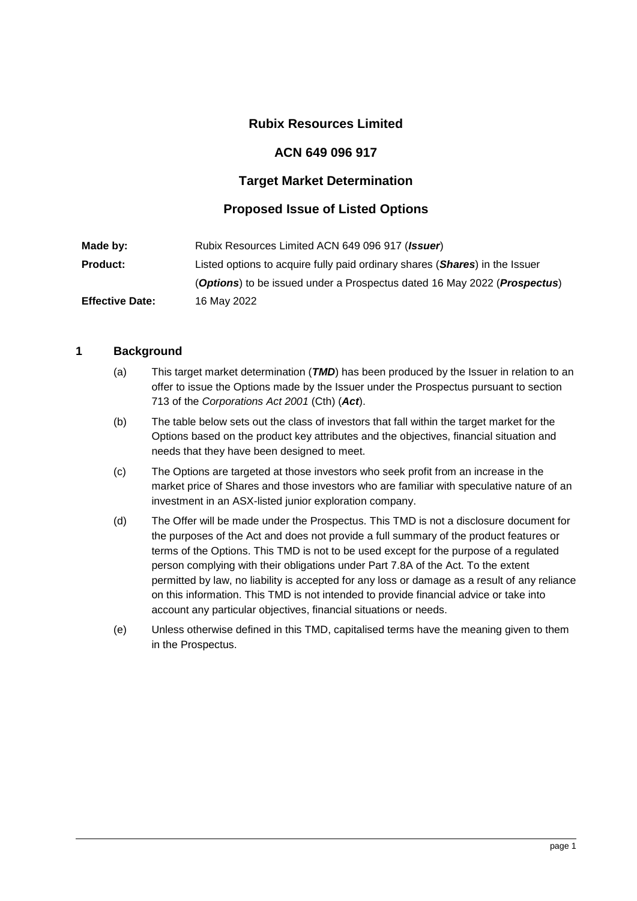## **Rubix Resources Limited**

#### **ACN 649 096 917**

### **Target Market Determination**

### **Proposed Issue of Listed Options**

| Made by:               | Rubix Resources Limited ACN 649 096 917 ( <i>Issuer</i> )                   |
|------------------------|-----------------------------------------------------------------------------|
| <b>Product:</b>        | Listed options to acquire fully paid ordinary shares (Shares) in the Issuer |
|                        | (Options) to be issued under a Prospectus dated 16 May 2022 (Prospectus)    |
| <b>Effective Date:</b> | 16 May 2022                                                                 |

#### **1 Background**

- (a) This target market determination (*TMD*) has been produced by the Issuer in relation to an offer to issue the Options made by the Issuer under the Prospectus pursuant to section 713 of the *Corporations Act 2001* (Cth) (*Act*).
- (b) The table below sets out the class of investors that fall within the target market for the Options based on the product key attributes and the objectives, financial situation and needs that they have been designed to meet.
- (c) The Options are targeted at those investors who seek profit from an increase in the market price of Shares and those investors who are familiar with speculative nature of an investment in an ASX-listed junior exploration company.
- (d) The Offer will be made under the Prospectus. This TMD is not a disclosure document for the purposes of the Act and does not provide a full summary of the product features or terms of the Options. This TMD is not to be used except for the purpose of a regulated person complying with their obligations under Part 7.8A of the Act. To the extent permitted by law, no liability is accepted for any loss or damage as a result of any reliance on this information. This TMD is not intended to provide financial advice or take into account any particular objectives, financial situations or needs.
- (e) Unless otherwise defined in this TMD, capitalised terms have the meaning given to them in the Prospectus.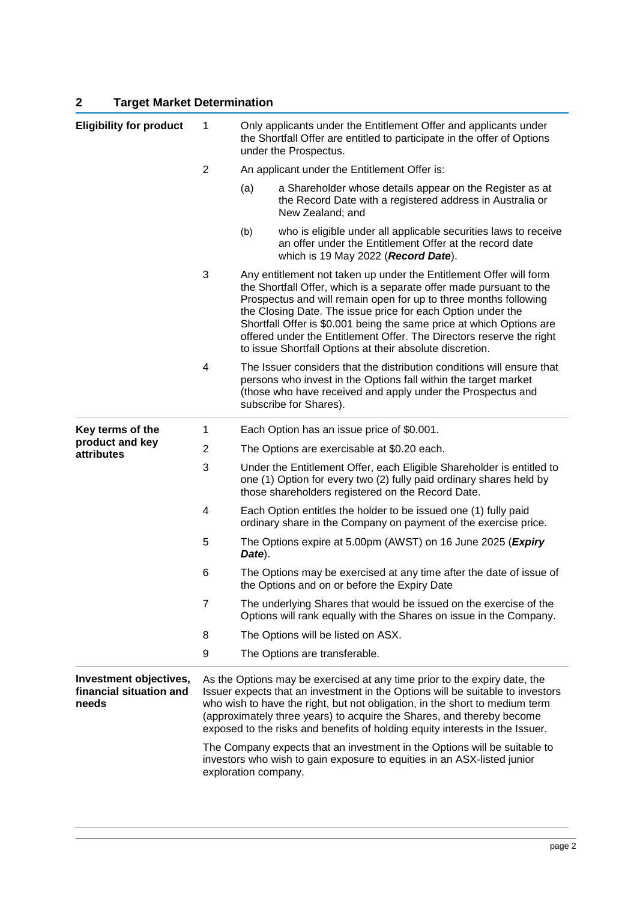# **2 Target Market Determination**

| <b>Eligibility for product</b>                             | 1                                                                                                                                                                                                                                                                                                                                                                                                   | Only applicants under the Entitlement Offer and applicants under<br>the Shortfall Offer are entitled to participate in the offer of Options<br>under the Prospectus.                                                                                                                                                                                                                                                                                                                     |                                                                                                                                                                                                                                    |  |  |
|------------------------------------------------------------|-----------------------------------------------------------------------------------------------------------------------------------------------------------------------------------------------------------------------------------------------------------------------------------------------------------------------------------------------------------------------------------------------------|------------------------------------------------------------------------------------------------------------------------------------------------------------------------------------------------------------------------------------------------------------------------------------------------------------------------------------------------------------------------------------------------------------------------------------------------------------------------------------------|------------------------------------------------------------------------------------------------------------------------------------------------------------------------------------------------------------------------------------|--|--|
|                                                            | $\overline{2}$                                                                                                                                                                                                                                                                                                                                                                                      |                                                                                                                                                                                                                                                                                                                                                                                                                                                                                          | An applicant under the Entitlement Offer is:                                                                                                                                                                                       |  |  |
|                                                            |                                                                                                                                                                                                                                                                                                                                                                                                     | (a)                                                                                                                                                                                                                                                                                                                                                                                                                                                                                      | a Shareholder whose details appear on the Register as at<br>the Record Date with a registered address in Australia or<br>New Zealand; and                                                                                          |  |  |
|                                                            |                                                                                                                                                                                                                                                                                                                                                                                                     | (b)                                                                                                                                                                                                                                                                                                                                                                                                                                                                                      | who is eligible under all applicable securities laws to receive<br>an offer under the Entitlement Offer at the record date<br>which is 19 May 2022 (Record Date).                                                                  |  |  |
|                                                            | 3                                                                                                                                                                                                                                                                                                                                                                                                   | Any entitlement not taken up under the Entitlement Offer will form<br>the Shortfall Offer, which is a separate offer made pursuant to the<br>Prospectus and will remain open for up to three months following<br>the Closing Date. The issue price for each Option under the<br>Shortfall Offer is \$0.001 being the same price at which Options are<br>offered under the Entitlement Offer. The Directors reserve the right<br>to issue Shortfall Options at their absolute discretion. |                                                                                                                                                                                                                                    |  |  |
|                                                            | 4                                                                                                                                                                                                                                                                                                                                                                                                   |                                                                                                                                                                                                                                                                                                                                                                                                                                                                                          | The Issuer considers that the distribution conditions will ensure that<br>persons who invest in the Options fall within the target market<br>(those who have received and apply under the Prospectus and<br>subscribe for Shares). |  |  |
| Key terms of the<br>product and key<br>attributes          | 1                                                                                                                                                                                                                                                                                                                                                                                                   |                                                                                                                                                                                                                                                                                                                                                                                                                                                                                          | Each Option has an issue price of \$0.001.                                                                                                                                                                                         |  |  |
|                                                            | $\overline{2}$                                                                                                                                                                                                                                                                                                                                                                                      | The Options are exercisable at \$0.20 each.                                                                                                                                                                                                                                                                                                                                                                                                                                              |                                                                                                                                                                                                                                    |  |  |
|                                                            | 3                                                                                                                                                                                                                                                                                                                                                                                                   | Under the Entitlement Offer, each Eligible Shareholder is entitled to<br>one (1) Option for every two (2) fully paid ordinary shares held by<br>those shareholders registered on the Record Date.                                                                                                                                                                                                                                                                                        |                                                                                                                                                                                                                                    |  |  |
|                                                            | 4                                                                                                                                                                                                                                                                                                                                                                                                   |                                                                                                                                                                                                                                                                                                                                                                                                                                                                                          | Each Option entitles the holder to be issued one (1) fully paid<br>ordinary share in the Company on payment of the exercise price.                                                                                                 |  |  |
|                                                            | 5                                                                                                                                                                                                                                                                                                                                                                                                   | Date).                                                                                                                                                                                                                                                                                                                                                                                                                                                                                   | The Options expire at 5.00pm (AWST) on 16 June 2025 (Expiry                                                                                                                                                                        |  |  |
|                                                            | 6                                                                                                                                                                                                                                                                                                                                                                                                   |                                                                                                                                                                                                                                                                                                                                                                                                                                                                                          | The Options may be exercised at any time after the date of issue of<br>the Options and on or before the Expiry Date                                                                                                                |  |  |
|                                                            | $\overline{7}$                                                                                                                                                                                                                                                                                                                                                                                      |                                                                                                                                                                                                                                                                                                                                                                                                                                                                                          | The underlying Shares that would be issued on the exercise of the<br>Options will rank equally with the Shares on issue in the Company.                                                                                            |  |  |
|                                                            | 8                                                                                                                                                                                                                                                                                                                                                                                                   |                                                                                                                                                                                                                                                                                                                                                                                                                                                                                          | The Options will be listed on ASX.                                                                                                                                                                                                 |  |  |
|                                                            | 9                                                                                                                                                                                                                                                                                                                                                                                                   |                                                                                                                                                                                                                                                                                                                                                                                                                                                                                          | The Options are transferable.                                                                                                                                                                                                      |  |  |
| Investment objectives,<br>financial situation and<br>needs | As the Options may be exercised at any time prior to the expiry date, the<br>Issuer expects that an investment in the Options will be suitable to investors<br>who wish to have the right, but not obligation, in the short to medium term<br>(approximately three years) to acquire the Shares, and thereby become<br>exposed to the risks and benefits of holding equity interests in the Issuer. |                                                                                                                                                                                                                                                                                                                                                                                                                                                                                          |                                                                                                                                                                                                                                    |  |  |
|                                                            | The Company expects that an investment in the Options will be suitable to<br>investors who wish to gain exposure to equities in an ASX-listed junior<br>exploration company.                                                                                                                                                                                                                        |                                                                                                                                                                                                                                                                                                                                                                                                                                                                                          |                                                                                                                                                                                                                                    |  |  |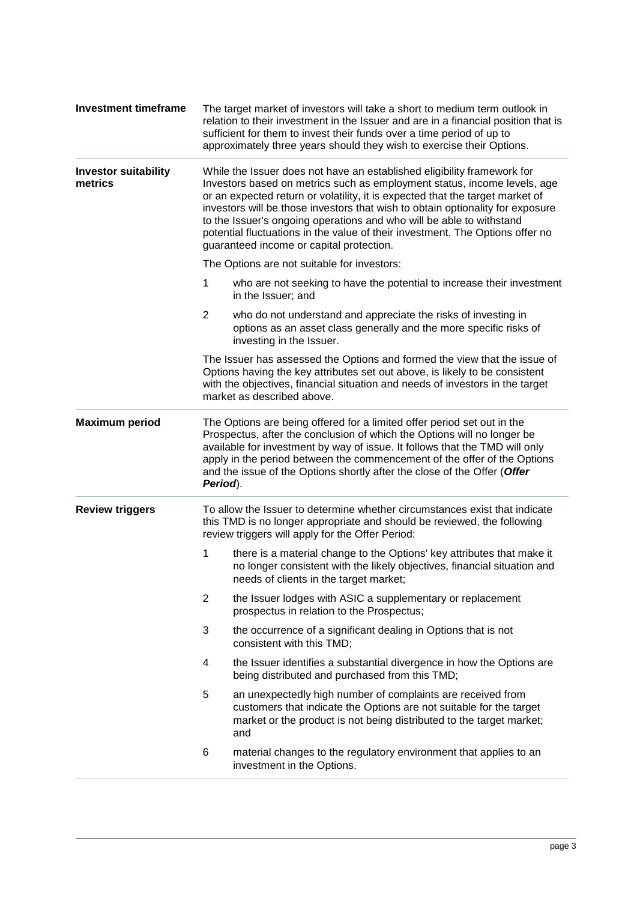| <b>Investment timeframe</b>            | The target market of investors will take a short to medium term outlook in<br>relation to their investment in the Issuer and are in a financial position that is<br>sufficient for them to invest their funds over a time period of up to<br>approximately three years should they wish to exercise their Options.                                                                                                                                                                                                          |  |  |  |  |  |
|----------------------------------------|-----------------------------------------------------------------------------------------------------------------------------------------------------------------------------------------------------------------------------------------------------------------------------------------------------------------------------------------------------------------------------------------------------------------------------------------------------------------------------------------------------------------------------|--|--|--|--|--|
| <b>Investor suitability</b><br>metrics | While the Issuer does not have an established eligibility framework for<br>Investors based on metrics such as employment status, income levels, age<br>or an expected return or volatility, it is expected that the target market of<br>investors will be those investors that wish to obtain optionality for exposure<br>to the Issuer's ongoing operations and who will be able to withstand<br>potential fluctuations in the value of their investment. The Options offer no<br>guaranteed income or capital protection. |  |  |  |  |  |
|                                        | The Options are not suitable for investors:                                                                                                                                                                                                                                                                                                                                                                                                                                                                                 |  |  |  |  |  |
|                                        | 1<br>who are not seeking to have the potential to increase their investment<br>in the Issuer; and                                                                                                                                                                                                                                                                                                                                                                                                                           |  |  |  |  |  |
|                                        | $\overline{2}$<br>who do not understand and appreciate the risks of investing in<br>options as an asset class generally and the more specific risks of<br>investing in the Issuer.                                                                                                                                                                                                                                                                                                                                          |  |  |  |  |  |
|                                        | The Issuer has assessed the Options and formed the view that the issue of<br>Options having the key attributes set out above, is likely to be consistent<br>with the objectives, financial situation and needs of investors in the target<br>market as described above.                                                                                                                                                                                                                                                     |  |  |  |  |  |
| <b>Maximum period</b>                  | The Options are being offered for a limited offer period set out in the<br>Prospectus, after the conclusion of which the Options will no longer be<br>available for investment by way of issue. It follows that the TMD will only<br>apply in the period between the commencement of the offer of the Options<br>and the issue of the Options shortly after the close of the Offer (Offer<br>Period).                                                                                                                       |  |  |  |  |  |
| <b>Review triggers</b>                 | To allow the Issuer to determine whether circumstances exist that indicate<br>this TMD is no longer appropriate and should be reviewed, the following<br>review triggers will apply for the Offer Period:                                                                                                                                                                                                                                                                                                                   |  |  |  |  |  |
|                                        | 1<br>there is a material change to the Options' key attributes that make it<br>no longer consistent with the likely objectives, financial situation and<br>needs of clients in the target market;                                                                                                                                                                                                                                                                                                                           |  |  |  |  |  |
|                                        | $\overline{2}$<br>the Issuer lodges with ASIC a supplementary or replacement<br>prospectus in relation to the Prospectus;                                                                                                                                                                                                                                                                                                                                                                                                   |  |  |  |  |  |
|                                        | 3<br>the occurrence of a significant dealing in Options that is not<br>consistent with this TMD;                                                                                                                                                                                                                                                                                                                                                                                                                            |  |  |  |  |  |
|                                        | the Issuer identifies a substantial divergence in how the Options are<br>4<br>being distributed and purchased from this TMD;                                                                                                                                                                                                                                                                                                                                                                                                |  |  |  |  |  |
|                                        | 5<br>an unexpectedly high number of complaints are received from<br>customers that indicate the Options are not suitable for the target<br>market or the product is not being distributed to the target market;<br>and                                                                                                                                                                                                                                                                                                      |  |  |  |  |  |
|                                        | 6<br>material changes to the regulatory environment that applies to an<br>investment in the Options.                                                                                                                                                                                                                                                                                                                                                                                                                        |  |  |  |  |  |